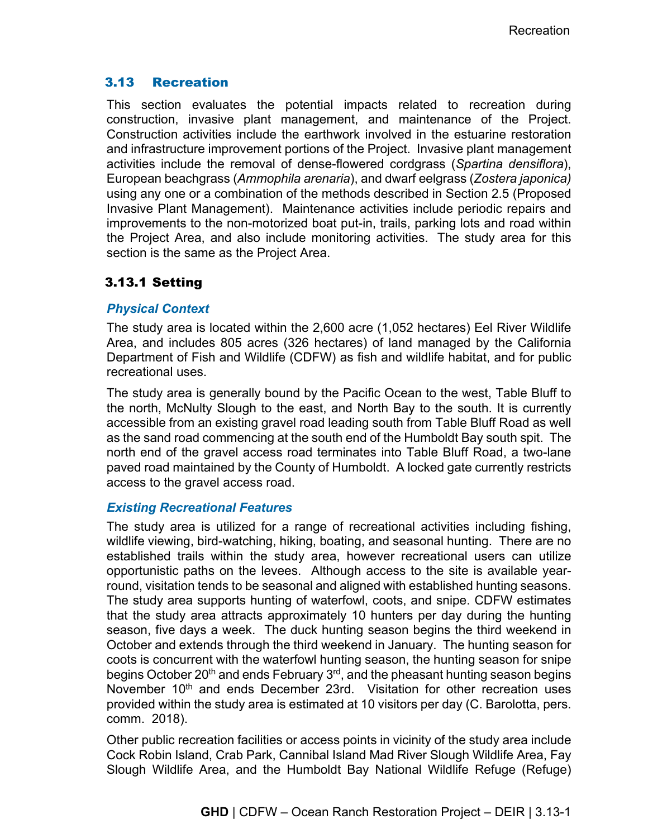## 3.13 Recreation

This section evaluates the potential impacts related to recreation during construction, invasive plant management, and maintenance of the Project. Construction activities include the earthwork involved in the estuarine restoration and infrastructure improvement portions of the Project. Invasive plant management activities include the removal of dense-flowered cordgrass (*Spartina densiflora*), European beachgrass (*Ammophila arenaria*), and dwarf eelgrass (*Zostera japonica)* using any one or a combination of the methods described in Section 2.5 (Proposed Invasive Plant Management). Maintenance activities include periodic repairs and improvements to the non-motorized boat put-in, trails, parking lots and road within the Project Area, and also include monitoring activities. The study area for this section is the same as the Project Area.

# 3.13.1 Setting

## *Physical Context*

The study area is located within the 2,600 acre (1,052 hectares) Eel River Wildlife Area, and includes 805 acres (326 hectares) of land managed by the California Department of Fish and Wildlife (CDFW) as fish and wildlife habitat, and for public recreational uses.

The study area is generally bound by the Pacific Ocean to the west, Table Bluff to the north, McNulty Slough to the east, and North Bay to the south. It is currently accessible from an existing gravel road leading south from Table Bluff Road as well as the sand road commencing at the south end of the Humboldt Bay south spit. The north end of the gravel access road terminates into Table Bluff Road, a two-lane paved road maintained by the County of Humboldt. A locked gate currently restricts access to the gravel access road.

## *Existing Recreational Features*

The study area is utilized for a range of recreational activities including fishing, wildlife viewing, bird-watching, hiking, boating, and seasonal hunting. There are no established trails within the study area, however recreational users can utilize opportunistic paths on the levees. Although access to the site is available yearround, visitation tends to be seasonal and aligned with established hunting seasons. The study area supports hunting of waterfowl, coots, and snipe. CDFW estimates that the study area attracts approximately 10 hunters per day during the hunting season, five days a week. The duck hunting season begins the third weekend in October and extends through the third weekend in January. The hunting season for coots is concurrent with the waterfowl hunting season, the hunting season for snipe begins October 20<sup>th</sup> and ends February 3<sup>rd</sup>, and the pheasant hunting season begins November 10<sup>th</sup> and ends December 23rd. Visitation for other recreation uses provided within the study area is estimated at 10 visitors per day (C. Barolotta, pers. comm. 2018).

Other public recreation facilities or access points in vicinity of the study area include Cock Robin Island, Crab Park, Cannibal Island Mad River Slough Wildlife Area, Fay Slough Wildlife Area, and the Humboldt Bay National Wildlife Refuge (Refuge)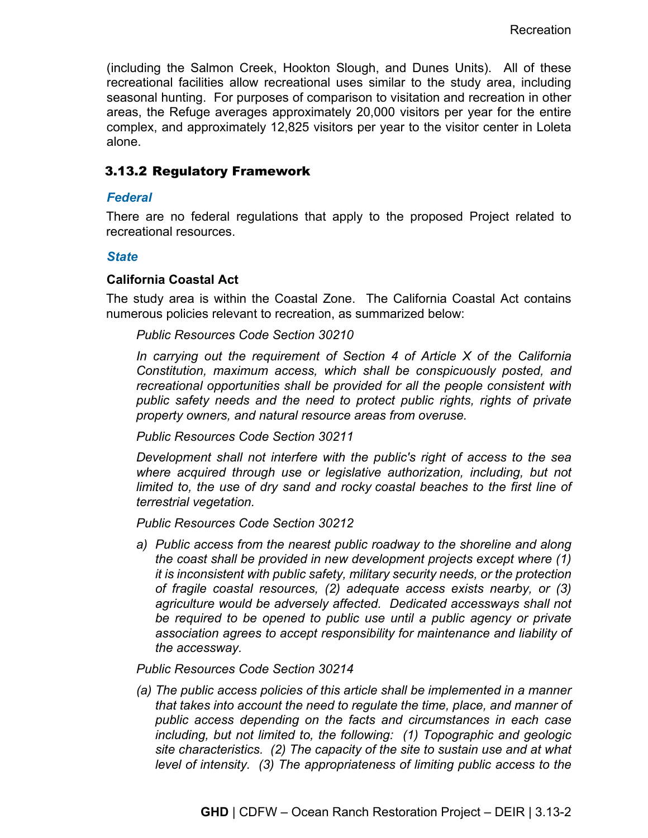(including the Salmon Creek, Hookton Slough, and Dunes Units). All of these recreational facilities allow recreational uses similar to the study area, including seasonal hunting. For purposes of comparison to visitation and recreation in other areas, the Refuge averages approximately 20,000 visitors per year for the entire complex, and approximately 12,825 visitors per year to the visitor center in Loleta alone.

## 3.13.2 Regulatory Framework

#### *Federal*

There are no federal regulations that apply to the proposed Project related to recreational resources.

#### *State*

## **California Coastal Act**

The study area is within the Coastal Zone. The California Coastal Act contains numerous policies relevant to recreation, as summarized below:

#### *Public Resources Code Section 30210*

*In carrying out the requirement of Section 4 of Article X of the California Constitution, maximum access, which shall be conspicuously posted, and recreational opportunities shall be provided for all the people consistent with public safety needs and the need to protect public rights, rights of private property owners, and natural resource areas from overuse.*

*Public Resources Code Section 30211*

*Development shall not interfere with the public's right of access to the sea*  where acquired through use or legislative authorization, including, but not *limited to, the use of dry sand and rocky coastal beaches to the first line of terrestrial vegetation.*

*Public Resources Code Section 30212*

*a) Public access from the nearest public roadway to the shoreline and along the coast shall be provided in new development projects except where (1) it is inconsistent with public safety, military security needs, or the protection of fragile coastal resources, (2) adequate access exists nearby, or (3) agriculture would be adversely affected. Dedicated accessways shall not be required to be opened to public use until a public agency or private association agrees to accept responsibility for maintenance and liability of the accessway.*

#### *Public Resources Code Section 30214*

*(a) The public access policies of this article shall be implemented in a manner that takes into account the need to regulate the time, place, and manner of public access depending on the facts and circumstances in each case including, but not limited to, the following: (1) Topographic and geologic site characteristics. (2) The capacity of the site to sustain use and at what level of intensity. (3) The appropriateness of limiting public access to the*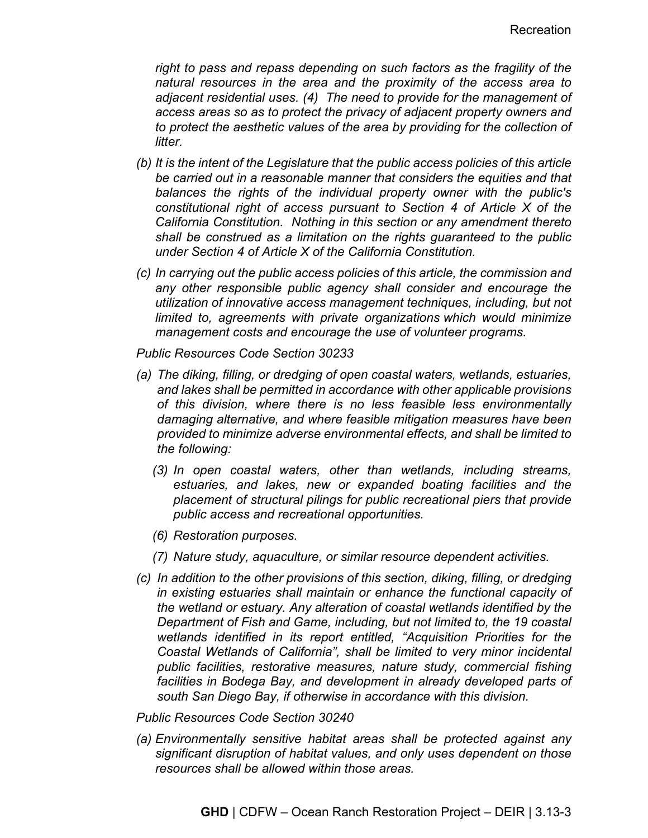*right to pass and repass depending on such factors as the fragility of the natural resources in the area and the proximity of the access area to adjacent residential uses. (4) The need to provide for the management of access areas so as to protect the privacy of adjacent property owners and to protect the aesthetic values of the area by providing for the collection of litter.*

- *(b) It is the intent of the Legislature that the public access policies of this article be carried out in a reasonable manner that considers the equities and that balances the rights of the individual property owner with the public's constitutional right of access pursuant to Section 4 of Article X of the California Constitution. Nothing in this section or any amendment thereto shall be construed as a limitation on the rights guaranteed to the public under Section 4 of Article X of the California Constitution.*
- *(c) In carrying out the public access policies of this article, the commission and any other responsible public agency shall consider and encourage the utilization of innovative access management techniques, including, but not limited to, agreements with private organizations which would minimize management costs and encourage the use of volunteer programs.*

*Public Resources Code Section 30233*

- *(a) The diking, filling, or dredging of open coastal waters, wetlands, estuaries, and lakes shall be permitted in accordance with other applicable provisions of this division, where there is no less feasible less environmentally damaging alternative, and where feasible mitigation measures have been provided to minimize adverse environmental effects, and shall be limited to the following:*
	- *(3) In open coastal waters, other than wetlands, including streams, estuaries, and lakes, new or expanded boating facilities and the placement of structural pilings for public recreational piers that provide public access and recreational opportunities.*
	- *(6) Restoration purposes.*
	- *(7) Nature study, aquaculture, or similar resource dependent activities.*
- *(c) In addition to the other provisions of this section, diking, filling, or dredging in existing estuaries shall maintain or enhance the functional capacity of the wetland or estuary. Any alteration of coastal wetlands identified by the Department of Fish and Game, including, but not limited to, the 19 coastal wetlands identified in its report entitled, "Acquisition Priorities for the Coastal Wetlands of California", shall be limited to very minor incidental public facilities, restorative measures, nature study, commercial fishing facilities in Bodega Bay, and development in already developed parts of south San Diego Bay, if otherwise in accordance with this division.*

*Public Resources Code Section 30240*

*(a) Environmentally sensitive habitat areas shall be protected against any significant disruption of habitat values, and only uses dependent on those resources shall be allowed within those areas.*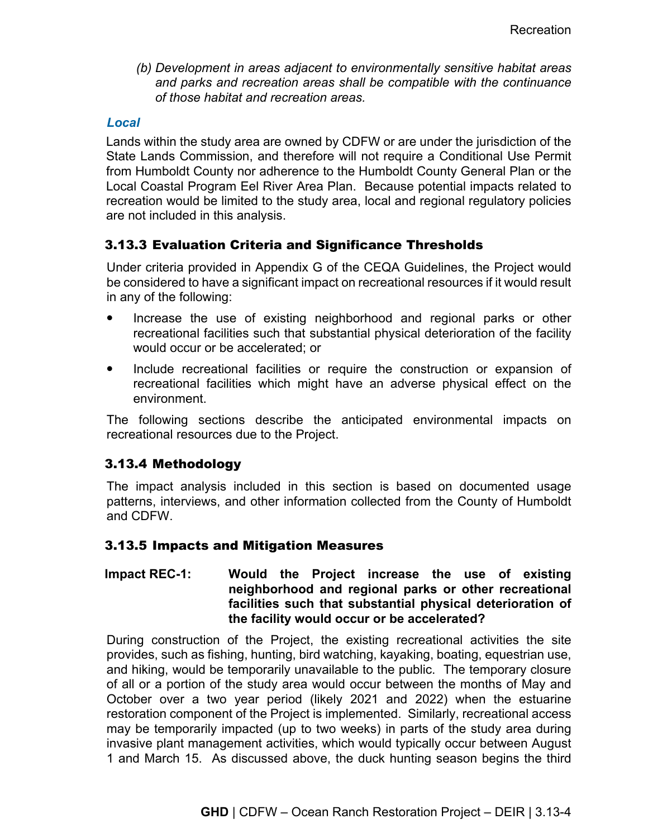*(b) Development in areas adjacent to environmentally sensitive habitat areas and parks and recreation areas shall be compatible with the continuance of those habitat and recreation areas.*

## *Local*

Lands within the study area are owned by CDFW or are under the jurisdiction of the State Lands Commission, and therefore will not require a Conditional Use Permit from Humboldt County nor adherence to the Humboldt County General Plan or the Local Coastal Program Eel River Area Plan. Because potential impacts related to recreation would be limited to the study area, local and regional regulatory policies are not included in this analysis.

# 3.13.3 Evaluation Criteria and Significance Thresholds

Under criteria provided in Appendix G of the CEQA Guidelines, the Project would be considered to have a significant impact on recreational resources if it would result in any of the following:

- Increase the use of existing neighborhood and regional parks or other recreational facilities such that substantial physical deterioration of the facility would occur or be accelerated; or
- Include recreational facilities or require the construction or expansion of recreational facilities which might have an adverse physical effect on the environment.

The following sections describe the anticipated environmental impacts on recreational resources due to the Project.

# 3.13.4 Methodology

The impact analysis included in this section is based on documented usage patterns, interviews, and other information collected from the County of Humboldt and CDFW.

# 3.13.5 Impacts and Mitigation Measures

## **Impact REC-1: Would the Project increase the use of existing neighborhood and regional parks or other recreational facilities such that substantial physical deterioration of the facility would occur or be accelerated?**

During construction of the Project, the existing recreational activities the site provides, such as fishing, hunting, bird watching, kayaking, boating, equestrian use, and hiking, would be temporarily unavailable to the public. The temporary closure of all or a portion of the study area would occur between the months of May and October over a two year period (likely 2021 and 2022) when the estuarine restoration component of the Project is implemented. Similarly, recreational access may be temporarily impacted (up to two weeks) in parts of the study area during invasive plant management activities, which would typically occur between August 1 and March 15. As discussed above, the duck hunting season begins the third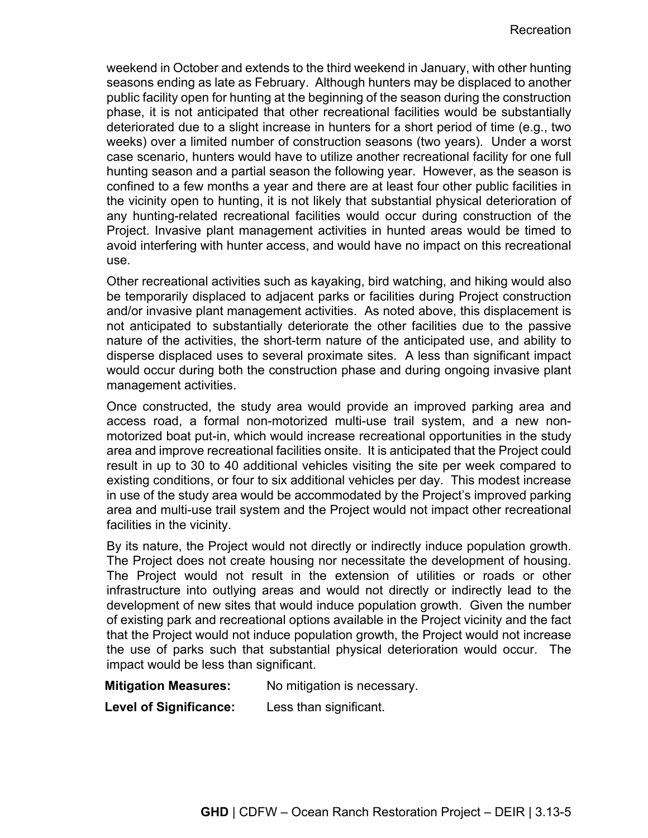weekend in October and extends to the third weekend in January, with other hunting seasons ending as late as February. Although hunters may be displaced to another public facility open for hunting at the beginning of the season during the construction phase, it is not anticipated that other recreational facilities would be substantially deteriorated due to a slight increase in hunters for a short period of time (e.g., two weeks) over a limited number of construction seasons (two years). Under a worst case scenario, hunters would have to utilize another recreational facility for one full hunting season and a partial season the following year. However, as the season is confined to a few months a year and there are at least four other public facilities in the vicinity open to hunting, it is not likely that substantial physical deterioration of any hunting-related recreational facilities would occur during construction of the Project. Invasive plant management activities in hunted areas would be timed to avoid interfering with hunter access, and would have no impact on this recreational use.

Other recreational activities such as kayaking, bird watching, and hiking would also be temporarily displaced to adjacent parks or facilities during Project construction and/or invasive plant management activities. As noted above, this displacement is not anticipated to substantially deteriorate the other facilities due to the passive nature of the activities, the short-term nature of the anticipated use, and ability to disperse displaced uses to several proximate sites. A less than significant impact would occur during both the construction phase and during ongoing invasive plant management activities.

Once constructed, the study area would provide an improved parking area and access road, a formal non-motorized multi-use trail system, and a new nonmotorized boat put-in, which would increase recreational opportunities in the study area and improve recreational facilities onsite. It is anticipated that the Project could result in up to 30 to 40 additional vehicles visiting the site per week compared to existing conditions, or four to six additional vehicles per day. This modest increase in use of the study area would be accommodated by the Project's improved parking area and multi-use trail system and the Project would not impact other recreational facilities in the vicinity.

By its nature, the Project would not directly or indirectly induce population growth. The Project does not create housing nor necessitate the development of housing. The Project would not result in the extension of utilities or roads or other infrastructure into outlying areas and would not directly or indirectly lead to the development of new sites that would induce population growth. Given the number of existing park and recreational options available in the Project vicinity and the fact that the Project would not induce population growth, the Project would not increase the use of parks such that substantial physical deterioration would occur. The impact would be less than significant.

**Mitigation Measures:** No mitigation is necessary.

**Level of Significance:** Less than significant.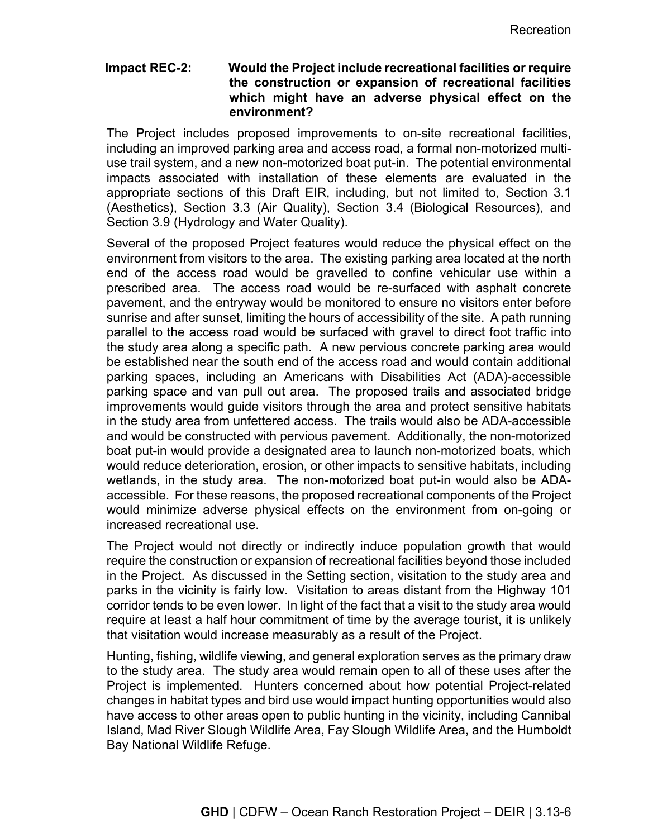#### **Impact REC-2: Would the Project include recreational facilities or require the construction or expansion of recreational facilities which might have an adverse physical effect on the environment?**

The Project includes proposed improvements to on-site recreational facilities, including an improved parking area and access road, a formal non-motorized multiuse trail system, and a new non-motorized boat put-in. The potential environmental impacts associated with installation of these elements are evaluated in the appropriate sections of this Draft EIR, including, but not limited to, Section 3.1 (Aesthetics), Section 3.3 (Air Quality), Section 3.4 (Biological Resources), and Section 3.9 (Hydrology and Water Quality).

Several of the proposed Project features would reduce the physical effect on the environment from visitors to the area. The existing parking area located at the north end of the access road would be gravelled to confine vehicular use within a prescribed area. The access road would be re-surfaced with asphalt concrete pavement, and the entryway would be monitored to ensure no visitors enter before sunrise and after sunset, limiting the hours of accessibility of the site. A path running parallel to the access road would be surfaced with gravel to direct foot traffic into the study area along a specific path. A new pervious concrete parking area would be established near the south end of the access road and would contain additional parking spaces, including an Americans with Disabilities Act (ADA)-accessible parking space and van pull out area. The proposed trails and associated bridge improvements would guide visitors through the area and protect sensitive habitats in the study area from unfettered access. The trails would also be ADA-accessible and would be constructed with pervious pavement. Additionally, the non-motorized boat put-in would provide a designated area to launch non-motorized boats, which would reduce deterioration, erosion, or other impacts to sensitive habitats, including wetlands, in the study area. The non-motorized boat put-in would also be ADAaccessible. For these reasons, the proposed recreational components of the Project would minimize adverse physical effects on the environment from on-going or increased recreational use.

The Project would not directly or indirectly induce population growth that would require the construction or expansion of recreational facilities beyond those included in the Project. As discussed in the Setting section, visitation to the study area and parks in the vicinity is fairly low. Visitation to areas distant from the Highway 101 corridor tends to be even lower. In light of the fact that a visit to the study area would require at least a half hour commitment of time by the average tourist, it is unlikely that visitation would increase measurably as a result of the Project.

Hunting, fishing, wildlife viewing, and general exploration serves as the primary draw to the study area. The study area would remain open to all of these uses after the Project is implemented. Hunters concerned about how potential Project-related changes in habitat types and bird use would impact hunting opportunities would also have access to other areas open to public hunting in the vicinity, including Cannibal Island, Mad River Slough Wildlife Area, Fay Slough Wildlife Area, and the Humboldt Bay National Wildlife Refuge.